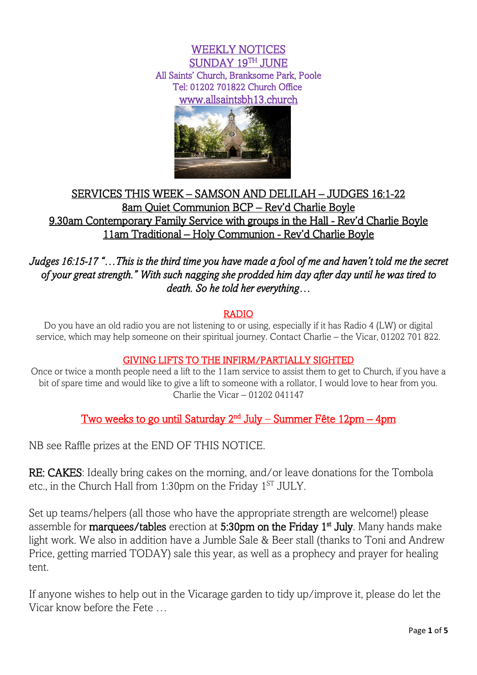WEEKLY NOTICES  $\overline{\mathrm{SUNDAY}}$  19 $^{\text{TH}}$  JUNE All Saints' Church, Branksome Park, Poole Tel: 01202 701822 Church Office [www.allsaintsbh13.church](http://www.allsaintsbh13.church/) 



## SERVICES THIS WEEK – SAMSON AND DELILAH – JUDGES 16:1-22 8am Quiet Communion BCP – Rev'd Charlie Boyle 9.30am Contemporary Family Service with groups in the Hall - Rev'd Charlie Boyle 11am Traditional – Holy Communion - Rev'd Charlie Boyle

*Judges 16:15-17 "…This is the third time you have made a fool of me and haven't told me the secret of your great strength." With such nagging she prodded him day after day until he was tired to death. So he told her everything…* 

## RADIO

Do you have an old radio you are not listening to or using, especially if it has Radio 4 (LW) or digital service, which may help someone on their spiritual journey. Contact Charlie – the Vicar, 01202 701 822.

## GIVING LIFTS TO THE INFIRM/PARTIALLY SIGHTED

Once or twice a month people need a lift to the 11am service to assist them to get to Church, if you have a bit of spare time and would like to give a lift to someone with a rollator, I would love to hear from you. Charlie the Vicar – 01202 041147

Two weeks to go until Saturday 2nd July – Summer Fête 12pm – 4pm

NB see Raffle prizes at the END OF THIS NOTICE.

RE: CAKES: Ideally bring cakes on the morning, and/or leave donations for the Tombola etc., in the Church Hall from 1:30pm on the Friday  $1<sup>ST</sup> JULY$ .

Set up teams/helpers (all those who have the appropriate strength are welcome!) please assemble for marquees/tables erection at 5:30pm on the Friday 1<sup>st</sup> July. Many hands make light work. We also in addition have a Jumble Sale & Beer stall (thanks to Toni and Andrew Price, getting married TODAY) sale this year, as well as a prophecy and prayer for healing tent.

If anyone wishes to help out in the Vicarage garden to tidy up/improve it, please do let the Vicar know before the Fete …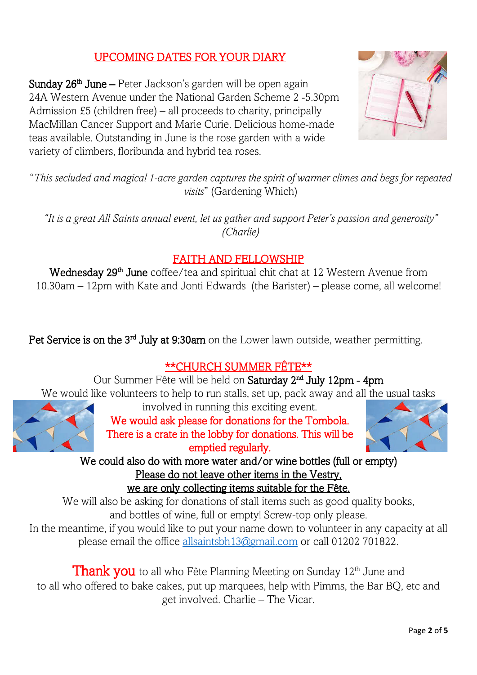# UPCOMING DATES FOR YOUR DIARY

Sunday 26<sup>th</sup> June – Peter Jackson's garden will be open again 24A Western Avenue under the National Garden Scheme 2 -5.30pm Admission £5 (children free) – all proceeds to charity, principally MacMillan Cancer Support and Marie Curie. Delicious home-made teas available. Outstanding in June is the rose garden with a wide variety of climbers, floribunda and hybrid tea roses.



"*This secluded and magical 1-acre garden captures the spirit of warmer climes and begs for repeated visits*" (Gardening Which)

*"It is a great All Saints annual event, let us gather and support Peter's passion and generosity" (Charlie)*

# FAITH AND FELLOWSHIP

Wednesday 29<sup>th</sup> June coffee/tea and spiritual chit chat at 12 Western Avenue from 10.30am – 12pm with Kate and Jonti Edwards (the Barister) – please come, all welcome!

Pet Service is on the 3<sup>rd</sup> July at 9:30am on the Lower lawn outside, weather permitting.

## \*\*CHURCH SUMMER FÊTE\*\*

Our Summer Fête will be held on Saturday 2<sup>nd</sup> July 12pm - 4pm We would like volunteers to help to run stalls, set up, pack away and all the usual tasks



involved in running this exciting event.

We would ask please for donations for the Tombola. There is a crate in the lobby for donations. This will be emptied regularly.



We could also do with more water and/or wine bottles (full or empty) Please do not leave other items in the Vestry,

we are only collecting items suitable for the Fête.

We will also be asking for donations of stall items such as good quality books, and bottles of wine, full or empty! Screw-top only please.

In the meantime, if you would like to put your name down to volunteer in any capacity at all please email the office [allsaintsbh13@gmail.com](mailto:allsaintsbh13@gmail.com) or call 01202 701822.

**Thank you** to all who Fête Planning Meeting on Sunday 12<sup>th</sup> June and to all who offered to bake cakes, put up marquees, help with Pimms, the Bar BQ, etc and get involved. Charlie – The Vicar.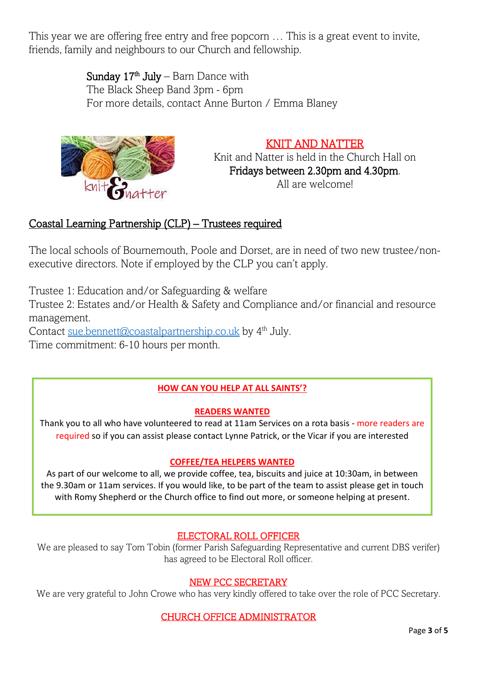This year we are offering free entry and free popcorn … This is a great event to invite, friends, family and neighbours to our Church and fellowship.

**Sunday 17<sup>th</sup> July** – Barn Dance with The Black Sheep Band 3pm - 6pm For more details, contact Anne Burton / Emma Blaney



KNIT AND NATTER Knit and Natter is held in the Church Hall on Fridays between 2.30pm and 4.30pm. All are welcome!

## Coastal Learning Partnership (CLP) – Trustees required

The local schools of Bournemouth, Poole and Dorset, are in need of two new trustee/nonexecutive directors. Note if employed by the CLP you can't apply.

Trustee 1: Education and/or Safeguarding & welfare

Trustee 2: Estates and/or Health & Safety and Compliance and/or financial and resource management.

Contact [sue.bennett@coastalpartnership.co.uk](mailto:sue.bennett@coastalpartnership.co.uk) by 4<sup>th</sup> July.

Time commitment: 6-10 hours per month.

## **HOW CAN YOU HELP AT ALL SAINTS'?**

#### **READERS WANTED**

Thank you to all who have volunteered to read at 11am Services on a rota basis - more readers are required so if you can assist please contact Lynne Patrick, or the Vicar if you are interested

#### **COFFEE/TEA HELPERS WANTED**

As part of our welcome to all, we provide coffee, tea, biscuits and juice at 10:30am, in between the 9.30am or 11am services. If you would like, to be part of the team to assist please get in touch with Romy Shepherd or the Church office to find out more, or someone helping at present.

## ELECTORAL ROLL OFFICER

We are pleased to say Tom Tobin (former Parish Safeguarding Representative and current DBS verifer) has agreed to be Electoral Roll officer.

#### NEW PCC SECRETARY

We are very grateful to John Crowe who has very kindly offered to take over the role of PCC Secretary.

## CHURCH OFFICE ADMINISTRATOR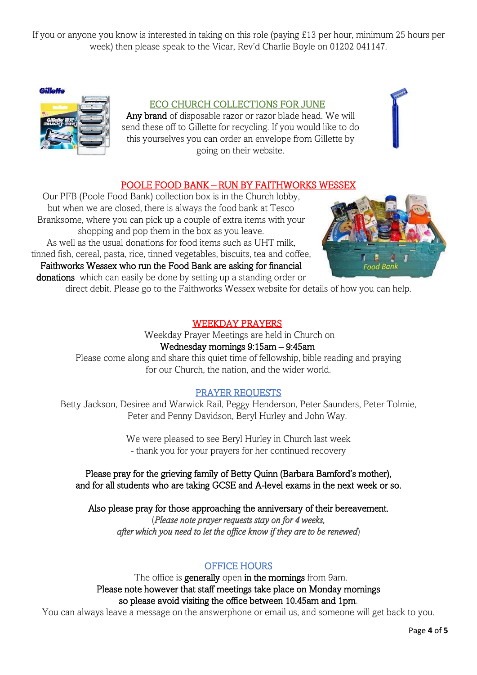If you or anyone you know is interested in taking on this role (paying £13 per hour, minimum 25 hours per week) then please speak to the Vicar, Rev'd Charlie Boyle on 01202 041147.

**Gillette** 



#### ECO CHURCH COLLECTIONS FOR JUNE

Any brand of disposable razor or razor blade head. We will send these off to Gillette for recycling. If you would like to do this yourselves you can order an envelope from Gillette by going on their website.

## POOLE FOOD BANK – RUN BY FAITHWORKS WESSEX

Our PFB (Poole Food Bank) collection box is in the Church lobby, but when we are closed, there is always the food bank at Tesco Branksome, where you can pick up a couple of extra items with your shopping and pop them in the box as you leave. As well as the usual donations for food items such as UHT milk, tinned fish, cereal, pasta, rice, tinned vegetables, biscuits, tea and coffee, Faithworks Wessex who run the Food Bank are asking for financial donations which can easily be done by setting up a standing order or



direct debit. Please go to the Faithworks Wessex website for details of how you can help.

#### WEEKDAY PRAYERS

Weekday Prayer Meetings are held in Church on Wednesday mornings 9:15am – 9:45am

Please come along and share this quiet time of fellowship, bible reading and praying for our Church, the nation, and the wider world.

#### PRAYER REQUESTS

Betty Jackson, Desiree and Warwick Rail, Peggy Henderson, Peter Saunders, Peter Tolmie, Peter and Penny Davidson, Beryl Hurley and John Way.

> We were pleased to see Beryl Hurley in Church last week - thank you for your prayers for her continued recovery

Please pray for the grieving family of Betty Quinn (Barbara Bamford's mother), and for all students who are taking GCSE and A-level exams in the next week or so.

Also please pray for those approaching the anniversary of their bereavement. (*Please note prayer requests stay on for 4 weeks,* 

*after which you need to let the office know if they are to be renewed*)

## OFFICE HOURS

The office is **generally** open in the mornings from 9am. Please note however that staff meetings take place on Monday mornings so please avoid visiting the office between 10.45am and 1pm.

You can always leave a message on the answerphone or email us, and someone will get back to you.